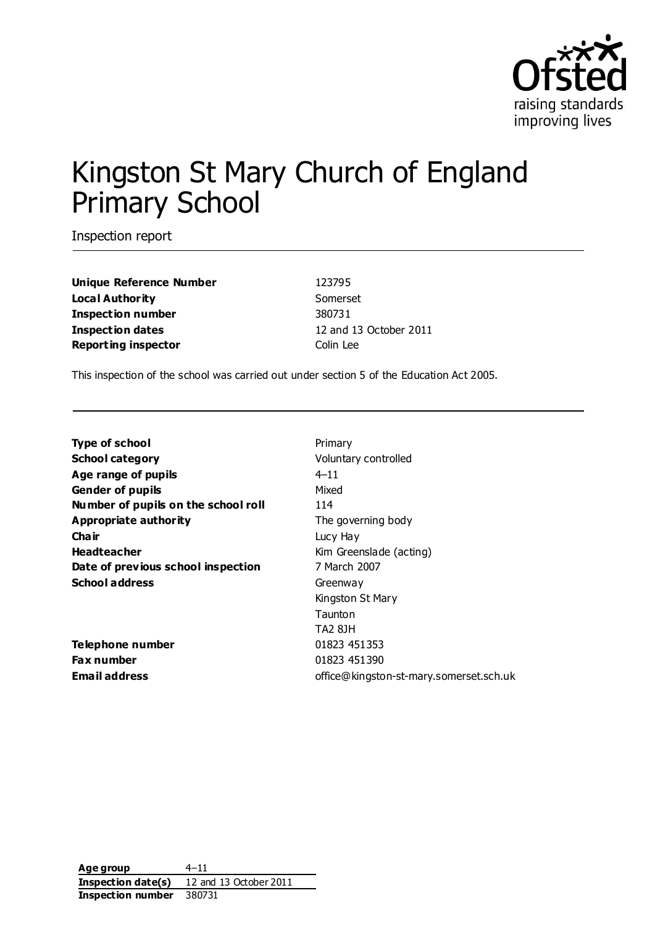

# Kingston St Mary Church of England Primary School

Inspection report

**Unique Reference Number** 123795 **Local Authority** Somerset **Inspection number** 380731 **Inspection dates** 12 and 13 October 2011 **Reporting inspector** Colin Lee

This inspection of the school was carried out under section 5 of the Education Act 2005.

**Type of school** Primary **School category Voluntary controlled Age range of pupils** 4–11 **Gender of pupils** Mixed **Number of pupils on the school roll** 114 **Appropriate authority** The governing body **Chair** Lucy Hay **Headteacher** Kim Greenslade (acting) **Date of previous school inspection** 7 March 2007 School address Greenway

**Telephone number** 01823 451353 **Fax number** 01823 451390

Kingston St Mary Taunton TA2 8JH **Email address** office@kingston-st-mary.somerset.sch.uk

**Age group** 4–11 **Inspection date(s)** 12 and 13 October 2011 **Inspection number** 380731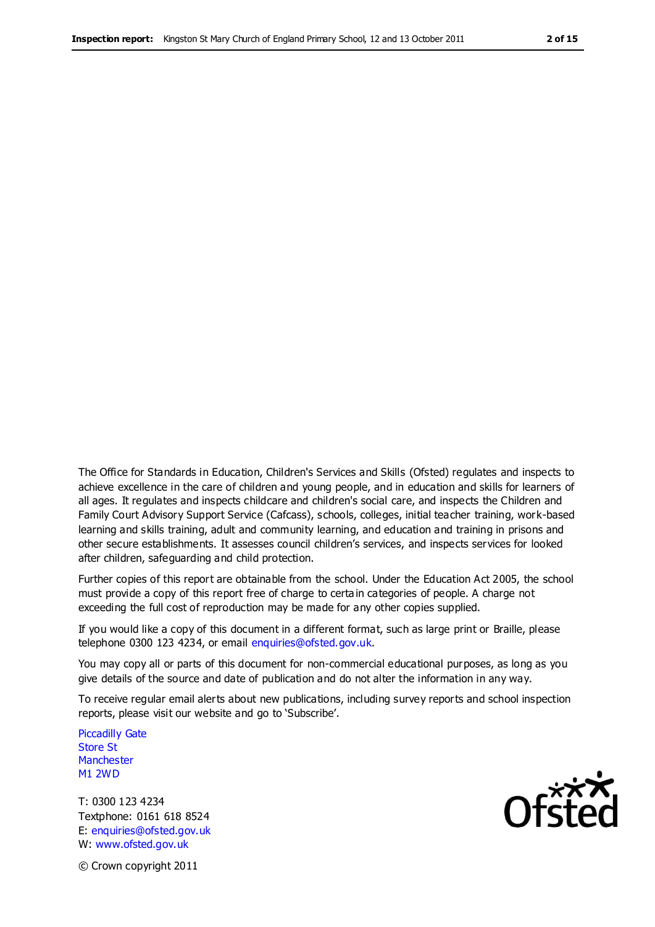The Office for Standards in Education, Children's Services and Skills (Ofsted) regulates and inspects to achieve excellence in the care of children and young people, and in education and skills for learners of all ages. It regulates and inspects childcare and children's social care, and inspects the Children and Family Court Advisory Support Service (Cafcass), schools, colleges, initial teacher training, work-based learning and skills training, adult and community learning, and education and training in prisons and other secure establishments. It assesses council children's services, and inspects services for looked after children, safeguarding and child protection.

Further copies of this report are obtainable from the school. Under the Education Act 2005, the school must provide a copy of this report free of charge to certa in categories of people. A charge not exceeding the full cost of reproduction may be made for any other copies supplied.

If you would like a copy of this document in a different format, such as large print or Braille, please telephone 0300 123 4234, or email enquiries@ofsted.gov.uk.

You may copy all or parts of this document for non-commercial educational purposes, as long as you give details of the source and date of publication and do not alter the information in any way.

To receive regular email alerts about new publications, including survey reports and school inspection reports, please visit our website and go to 'Subscribe'.

Piccadilly Gate Store St **Manchester** M1 2WD

T: 0300 123 4234 Textphone: 0161 618 8524 E: enquiries@ofsted.gov.uk W: www.ofsted.gov.uk

**Ofsted** 

© Crown copyright 2011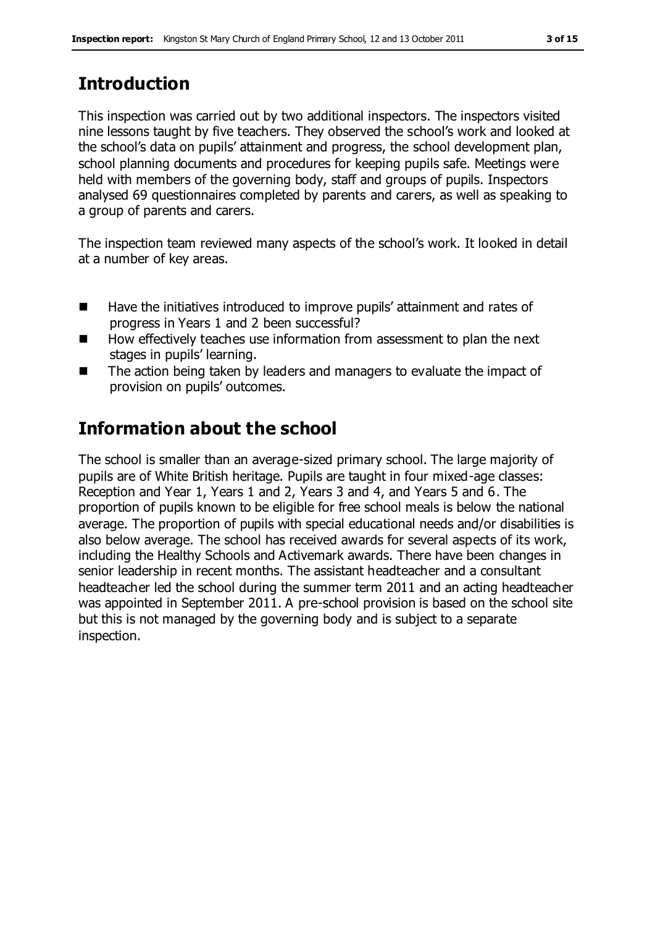# **Introduction**

This inspection was carried out by two additional inspectors. The inspectors visited nine lessons taught by five teachers. They observed the school's work and looked at the school's data on pupils' attainment and progress, the school development plan, school planning documents and procedures for keeping pupils safe. Meetings were held with members of the governing body, staff and groups of pupils. Inspectors analysed 69 questionnaires completed by parents and carers, as well as speaking to a group of parents and carers.

The inspection team reviewed many aspects of the school's work. It looked in detail at a number of key areas.

- Have the initiatives introduced to improve pupils' attainment and rates of progress in Years 1 and 2 been successful?
- $\blacksquare$  How effectively teaches use information from assessment to plan the next stages in pupils' learning.
- The action being taken by leaders and managers to evaluate the impact of provision on pupils' outcomes.

# **Information about the school**

The school is smaller than an average-sized primary school. The large majority of pupils are of White British heritage. Pupils are taught in four mixed-age classes: Reception and Year 1, Years 1 and 2, Years 3 and 4, and Years 5 and 6. The proportion of pupils known to be eligible for free school meals is below the national average. The proportion of pupils with special educational needs and/or disabilities is also below average. The school has received awards for several aspects of its work, including the Healthy Schools and Activemark awards. There have been changes in senior leadership in recent months. The assistant headteacher and a consultant headteacher led the school during the summer term 2011 and an acting headteacher was appointed in September 2011. A pre-school provision is based on the school site but this is not managed by the governing body and is subject to a separate inspection.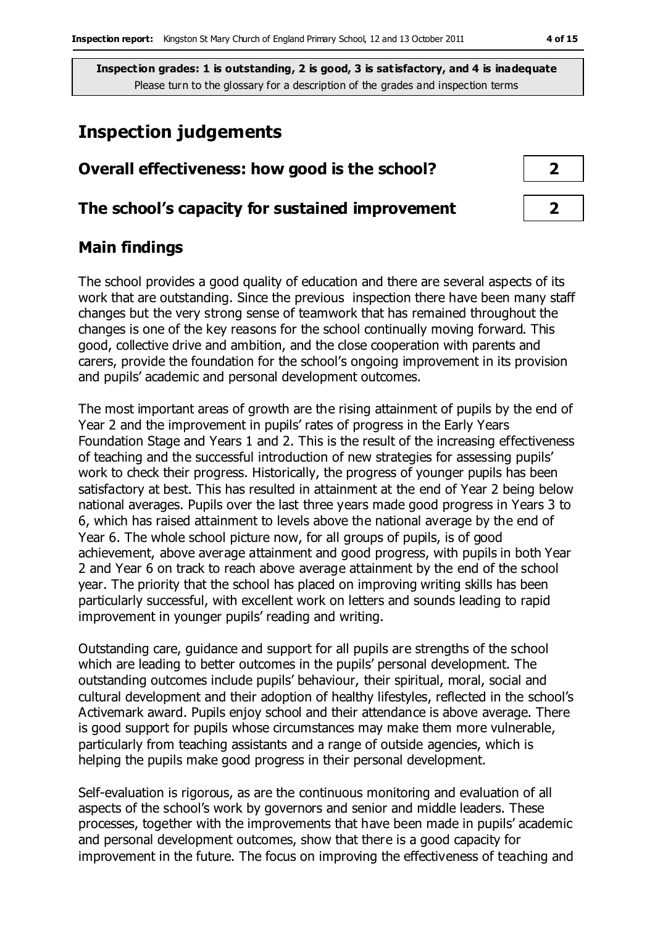# **Inspection judgements**

| Overall effectiveness: how good is the school?  |  |  |
|-------------------------------------------------|--|--|
| The school's capacity for sustained improvement |  |  |

# **Main findings**

The school provides a good quality of education and there are several aspects of its work that are outstanding. Since the previous inspection there have been many staff changes but the very strong sense of teamwork that has remained throughout the changes is one of the key reasons for the school continually moving forward. This good, collective drive and ambition, and the close cooperation with parents and carers, provide the foundation for the school's ongoing improvement in its provision and pupils' academic and personal development outcomes.

The most important areas of growth are the rising attainment of pupils by the end of Year 2 and the improvement in pupils' rates of progress in the Early Years Foundation Stage and Years 1 and 2. This is the result of the increasing effectiveness of teaching and the successful introduction of new strategies for assessing pupils' work to check their progress. Historically, the progress of younger pupils has been satisfactory at best. This has resulted in attainment at the end of Year 2 being below national averages. Pupils over the last three years made good progress in Years 3 to 6, which has raised attainment to levels above the national average by the end of Year 6. The whole school picture now, for all groups of pupils, is of good achievement, above average attainment and good progress, with pupils in both Year 2 and Year 6 on track to reach above average attainment by the end of the school year. The priority that the school has placed on improving writing skills has been particularly successful, with excellent work on letters and sounds leading to rapid improvement in younger pupils' reading and writing.

Outstanding care, guidance and support for all pupils are strengths of the school which are leading to better outcomes in the pupils' personal development. The outstanding outcomes include pupils' behaviour, their spiritual, moral, social and cultural development and their adoption of healthy lifestyles, reflected in the school's Activemark award. Pupils enjoy school and their attendance is above average. There is good support for pupils whose circumstances may make them more vulnerable, particularly from teaching assistants and a range of outside agencies, which is helping the pupils make good progress in their personal development.

Self-evaluation is rigorous, as are the continuous monitoring and evaluation of all aspects of the school's work by governors and senior and middle leaders. These processes, together with the improvements that have been made in pupils' academic and personal development outcomes, show that there is a good capacity for improvement in the future. The focus on improving the effectiveness of teaching and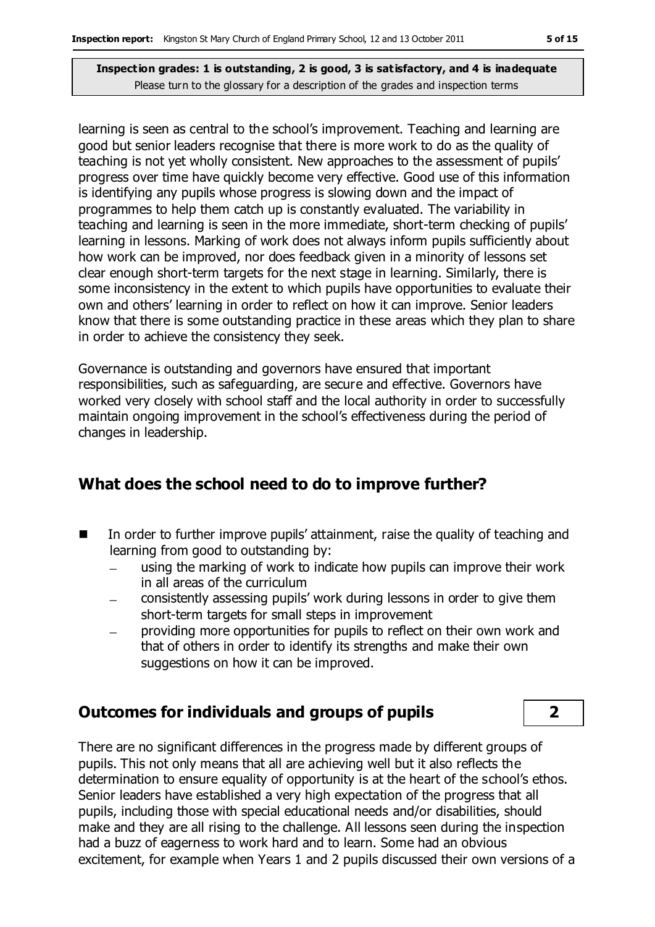learning is seen as central to the school's improvement. Teaching and learning are good but senior leaders recognise that there is more work to do as the quality of teaching is not yet wholly consistent. New approaches to the assessment of pupils' progress over time have quickly become very effective. Good use of this information is identifying any pupils whose progress is slowing down and the impact of programmes to help them catch up is constantly evaluated. The variability in teaching and learning is seen in the more immediate, short-term checking of pupils' learning in lessons. Marking of work does not always inform pupils sufficiently about how work can be improved, nor does feedback given in a minority of lessons set clear enough short-term targets for the next stage in learning. Similarly, there is some inconsistency in the extent to which pupils have opportunities to evaluate their own and others' learning in order to reflect on how it can improve. Senior leaders know that there is some outstanding practice in these areas which they plan to share in order to achieve the consistency they seek.

Governance is outstanding and governors have ensured that important responsibilities, such as safeguarding, are secure and effective. Governors have worked very closely with school staff and the local authority in order to successfully maintain ongoing improvement in the school's effectiveness during the period of changes in leadership.

### **What does the school need to do to improve further?**

- In order to further improve pupils' attainment, raise the quality of teaching and learning from good to outstanding by:
	- using the marking of work to indicate how pupils can improve their work in all areas of the curriculum
	- consistently assessing pupils' work during lessons in order to give them short-term targets for small steps in improvement
	- providing more opportunities for pupils to reflect on their own work and  $\equiv$ that of others in order to identify its strengths and make their own suggestions on how it can be improved.

### **Outcomes for individuals and groups of pupils 2**

There are no significant differences in the progress made by different groups of pupils. This not only means that all are achieving well but it also reflects the determination to ensure equality of opportunity is at the heart of the school's ethos. Senior leaders have established a very high expectation of the progress that all pupils, including those with special educational needs and/or disabilities, should make and they are all rising to the challenge. All lessons seen during the inspection had a buzz of eagerness to work hard and to learn. Some had an obvious excitement, for example when Years 1 and 2 pupils discussed their own versions of a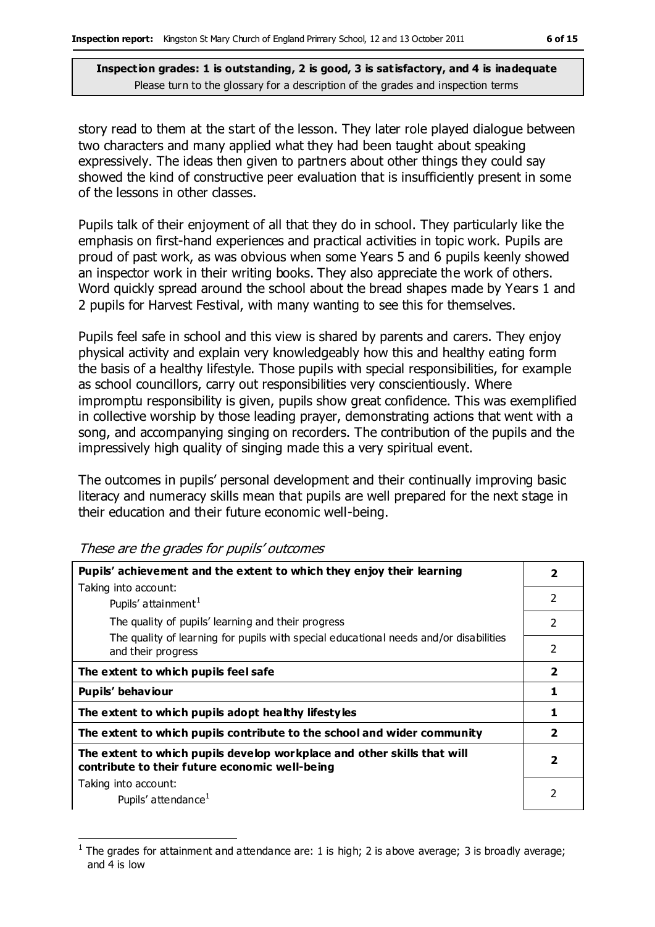story read to them at the start of the lesson. They later role played dialogue between two characters and many applied what they had been taught about speaking expressively. The ideas then given to partners about other things they could say showed the kind of constructive peer evaluation that is insufficiently present in some of the lessons in other classes.

Pupils talk of their enjoyment of all that they do in school. They particularly like the emphasis on first-hand experiences and practical activities in topic work. Pupils are proud of past work, as was obvious when some Years 5 and 6 pupils keenly showed an inspector work in their writing books. They also appreciate the work of others. Word quickly spread around the school about the bread shapes made by Years 1 and 2 pupils for Harvest Festival, with many wanting to see this for themselves.

Pupils feel safe in school and this view is shared by parents and carers. They enjoy physical activity and explain very knowledgeably how this and healthy eating form the basis of a healthy lifestyle. Those pupils with special responsibilities, for example as school councillors, carry out responsibilities very conscientiously. Where impromptu responsibility is given, pupils show great confidence. This was exemplified in collective worship by those leading prayer, demonstrating actions that went with a song, and accompanying singing on recorders. The contribution of the pupils and the impressively high quality of singing made this a very spiritual event.

The outcomes in pupils' personal development and their continually improving basic literacy and numeracy skills mean that pupils are well prepared for the next stage in their education and their future economic well-being.

| Pupils' achievement and the extent to which they enjoy their learning                                                     | 2                       |
|---------------------------------------------------------------------------------------------------------------------------|-------------------------|
| Taking into account:                                                                                                      |                         |
| Pupils' attainment <sup>1</sup>                                                                                           | $\overline{2}$          |
| The quality of pupils' learning and their progress                                                                        | $\mathcal{P}$           |
| The quality of learning for pupils with special educational needs and/or disabilities<br>and their progress               | 2                       |
| The extent to which pupils feel safe                                                                                      | $\overline{\mathbf{2}}$ |
| Pupils' behaviour                                                                                                         | 1                       |
| The extent to which pupils adopt healthy lifestyles                                                                       | 1                       |
| The extent to which pupils contribute to the school and wider community                                                   | $\mathbf{2}$            |
| The extent to which pupils develop workplace and other skills that will<br>contribute to their future economic well-being | 2                       |
| Taking into account:                                                                                                      | 2                       |
| Pupils' attendance <sup>1</sup>                                                                                           |                         |

These are the grades for pupils' outcomes

 $\overline{a}$ 

<sup>1</sup> The grades for attainment and attendance are: 1 is high; 2 is above average; 3 is broadly average; and 4 is low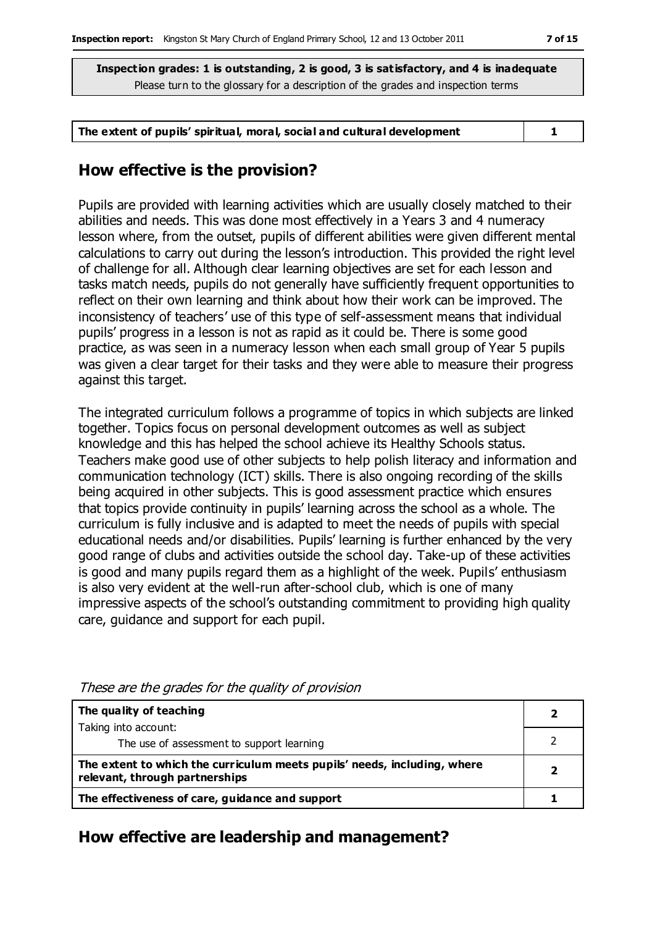| The extent of pupils' spiritual, moral, social and cultural development |  |
|-------------------------------------------------------------------------|--|
|-------------------------------------------------------------------------|--|

## **How effective is the provision?**

Pupils are provided with learning activities which are usually closely matched to their abilities and needs. This was done most effectively in a Years 3 and 4 numeracy lesson where, from the outset, pupils of different abilities were given different mental calculations to carry out during the lesson's introduction. This provided the right level of challenge for all. Although clear learning objectives are set for each lesson and tasks match needs, pupils do not generally have sufficiently frequent opportunities to reflect on their own learning and think about how their work can be improved. The inconsistency of teachers' use of this type of self-assessment means that individual pupils' progress in a lesson is not as rapid as it could be. There is some good practice, as was seen in a numeracy lesson when each small group of Year 5 pupils was given a clear target for their tasks and they were able to measure their progress against this target.

The integrated curriculum follows a programme of topics in which subjects are linked together. Topics focus on personal development outcomes as well as subject knowledge and this has helped the school achieve its Healthy Schools status. Teachers make good use of other subjects to help polish literacy and information and communication technology (ICT) skills. There is also ongoing recording of the skills being acquired in other subjects. This is good assessment practice which ensures that topics provide continuity in pupils' learning across the school as a whole. The curriculum is fully inclusive and is adapted to meet the needs of pupils with special educational needs and/or disabilities. Pupils' learning is further enhanced by the very good range of clubs and activities outside the school day. Take-up of these activities is good and many pupils regard them as a highlight of the week. Pupils' enthusiasm is also very evident at the well-run after-school club, which is one of many impressive aspects of the school's outstanding commitment to providing high quality care, guidance and support for each pupil.

| The quality of teaching                                                                                    |  |
|------------------------------------------------------------------------------------------------------------|--|
| Taking into account:                                                                                       |  |
| The use of assessment to support learning                                                                  |  |
| The extent to which the curriculum meets pupils' needs, including, where<br>relevant, through partnerships |  |
| The effectiveness of care, guidance and support                                                            |  |

These are the grades for the quality of provision

### **How effective are leadership and management?**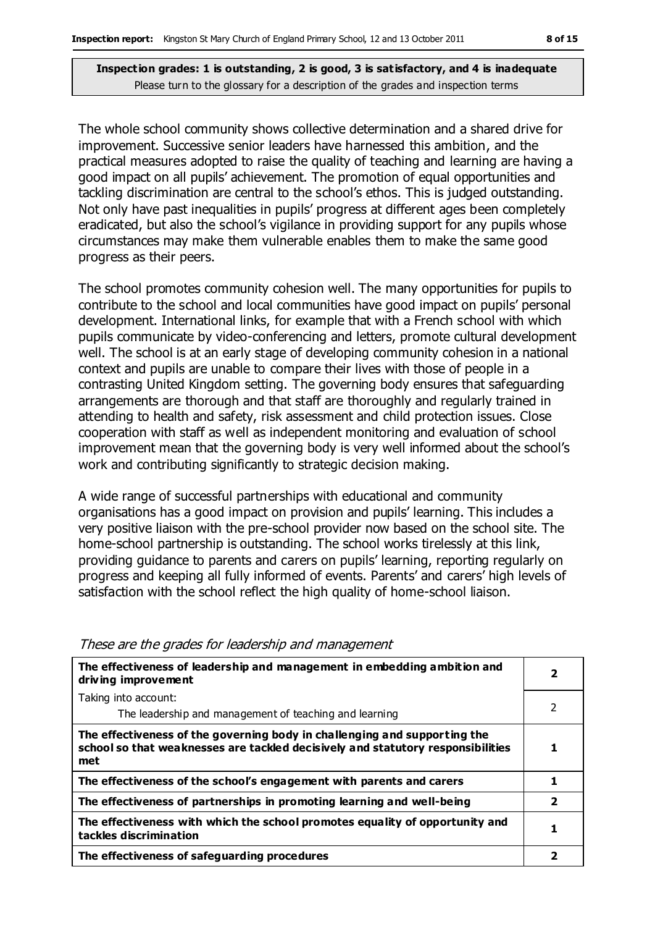The whole school community shows collective determination and a shared drive for improvement. Successive senior leaders have harnessed this ambition, and the practical measures adopted to raise the quality of teaching and learning are having a good impact on all pupils' achievement. The promotion of equal opportunities and tackling discrimination are central to the school's ethos. This is judged outstanding. Not only have past inequalities in pupils' progress at different ages been completely eradicated, but also the school's vigilance in providing support for any pupils whose circumstances may make them vulnerable enables them to make the same good progress as their peers.

The school promotes community cohesion well. The many opportunities for pupils to contribute to the school and local communities have good impact on pupils' personal development. International links, for example that with a French school with which pupils communicate by video-conferencing and letters, promote cultural development well. The school is at an early stage of developing community cohesion in a national context and pupils are unable to compare their lives with those of people in a contrasting United Kingdom setting. The governing body ensures that safeguarding arrangements are thorough and that staff are thoroughly and regularly trained in attending to health and safety, risk assessment and child protection issues. Close cooperation with staff as well as independent monitoring and evaluation of school improvement mean that the governing body is very well informed about the school's work and contributing significantly to strategic decision making.

A wide range of successful partnerships with educational and community organisations has a good impact on provision and pupils' learning. This includes a very positive liaison with the pre-school provider now based on the school site. The home-school partnership is outstanding. The school works tirelessly at this link, providing guidance to parents and carers on pupils' learning, reporting regularly on progress and keeping all fully informed of events. Parents' and carers' high levels of satisfaction with the school reflect the high quality of home-school liaison.

| The effectiveness of leadership and management in embedding ambition and<br>driving improvement                                                                     |                         |  |
|---------------------------------------------------------------------------------------------------------------------------------------------------------------------|-------------------------|--|
| Taking into account:                                                                                                                                                |                         |  |
| The leadership and management of teaching and learning                                                                                                              | 2                       |  |
| The effectiveness of the governing body in challenging and supporting the<br>school so that weaknesses are tackled decisively and statutory responsibilities<br>met |                         |  |
| The effectiveness of the school's engagement with parents and carers                                                                                                |                         |  |
| The effectiveness of partnerships in promoting learning and well-being                                                                                              | $\overline{\mathbf{2}}$ |  |
| The effectiveness with which the school promotes equality of opportunity and<br>tackles discrimination                                                              | 1                       |  |
| The effectiveness of safeguarding procedures                                                                                                                        |                         |  |

#### These are the grades for leadership and management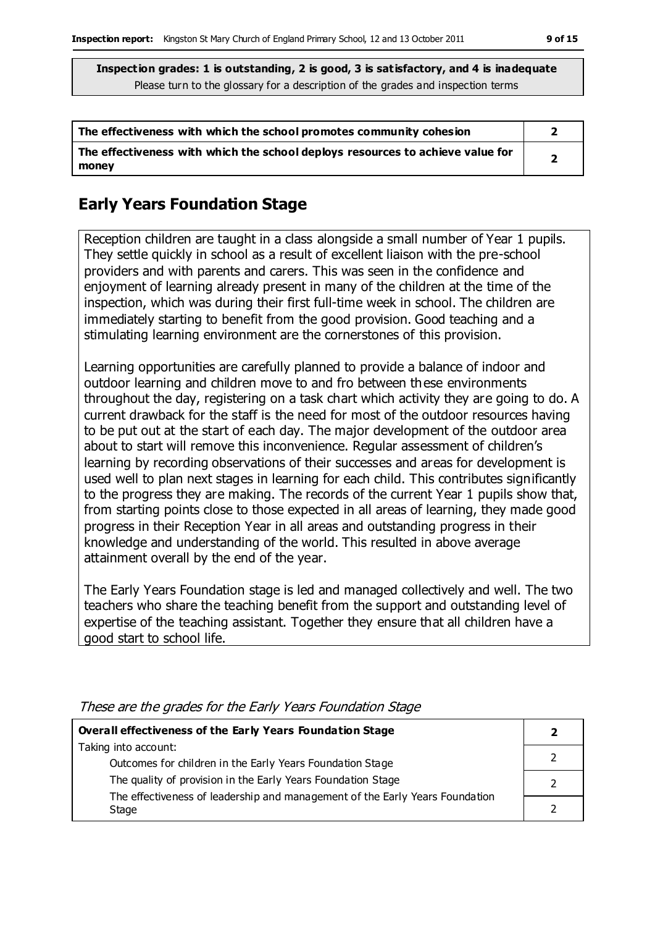| The effectiveness with which the school promotes community cohesion                     |  |
|-----------------------------------------------------------------------------------------|--|
| The effectiveness with which the school deploys resources to achieve value for<br>money |  |

# **Early Years Foundation Stage**

Reception children are taught in a class alongside a small number of Year 1 pupils. They settle quickly in school as a result of excellent liaison with the pre-school providers and with parents and carers. This was seen in the confidence and enjoyment of learning already present in many of the children at the time of the inspection, which was during their first full-time week in school. The children are immediately starting to benefit from the good provision. Good teaching and a stimulating learning environment are the cornerstones of this provision.

Learning opportunities are carefully planned to provide a balance of indoor and outdoor learning and children move to and fro between these environments throughout the day, registering on a task chart which activity they are going to do. A current drawback for the staff is the need for most of the outdoor resources having to be put out at the start of each day. The major development of the outdoor area about to start will remove this inconvenience. Regular assessment of children's learning by recording observations of their successes and areas for development is used well to plan next stages in learning for each child. This contributes significantly to the progress they are making. The records of the current Year 1 pupils show that, from starting points close to those expected in all areas of learning, they made good progress in their Reception Year in all areas and outstanding progress in their knowledge and understanding of the world. This resulted in above average attainment overall by the end of the year.

The Early Years Foundation stage is led and managed collectively and well. The two teachers who share the teaching benefit from the support and outstanding level of expertise of the teaching assistant. Together they ensure that all children have a good start to school life.

| Overall effectiveness of the Early Years Foundation Stage                    |  |  |
|------------------------------------------------------------------------------|--|--|
| Taking into account:                                                         |  |  |
| Outcomes for children in the Early Years Foundation Stage                    |  |  |
| The quality of provision in the Early Years Foundation Stage                 |  |  |
| The effectiveness of leadership and management of the Early Years Foundation |  |  |
| Stage                                                                        |  |  |

These are the grades for the Early Years Foundation Stage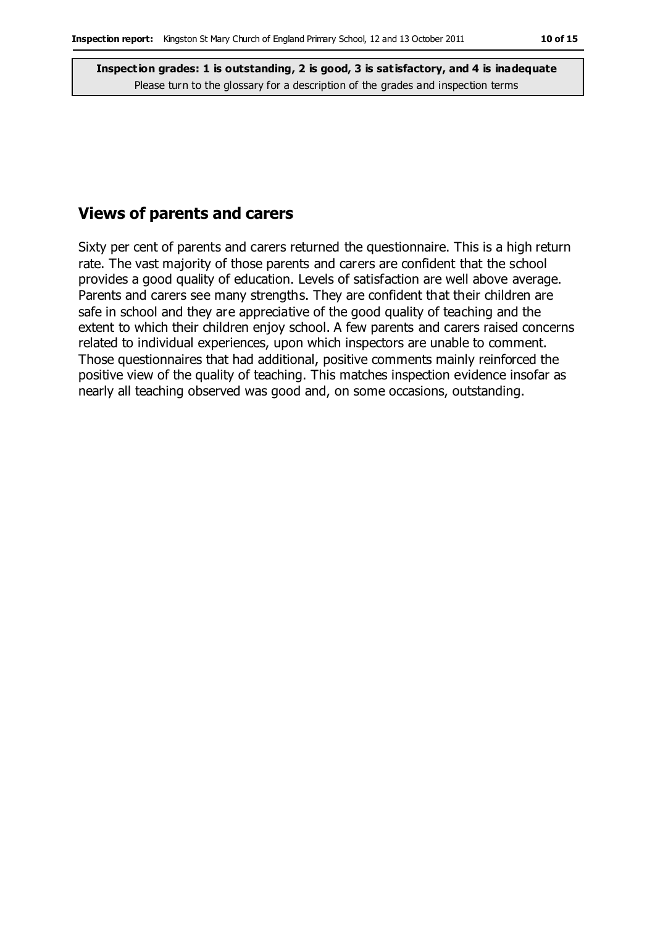### **Views of parents and carers**

Sixty per cent of parents and carers returned the questionnaire. This is a high return rate. The vast majority of those parents and carers are confident that the school provides a good quality of education. Levels of satisfaction are well above average. Parents and carers see many strengths. They are confident that their children are safe in school and they are appreciative of the good quality of teaching and the extent to which their children enjoy school. A few parents and carers raised concerns related to individual experiences, upon which inspectors are unable to comment. Those questionnaires that had additional, positive comments mainly reinforced the positive view of the quality of teaching. This matches inspection evidence insofar as nearly all teaching observed was good and, on some occasions, outstanding.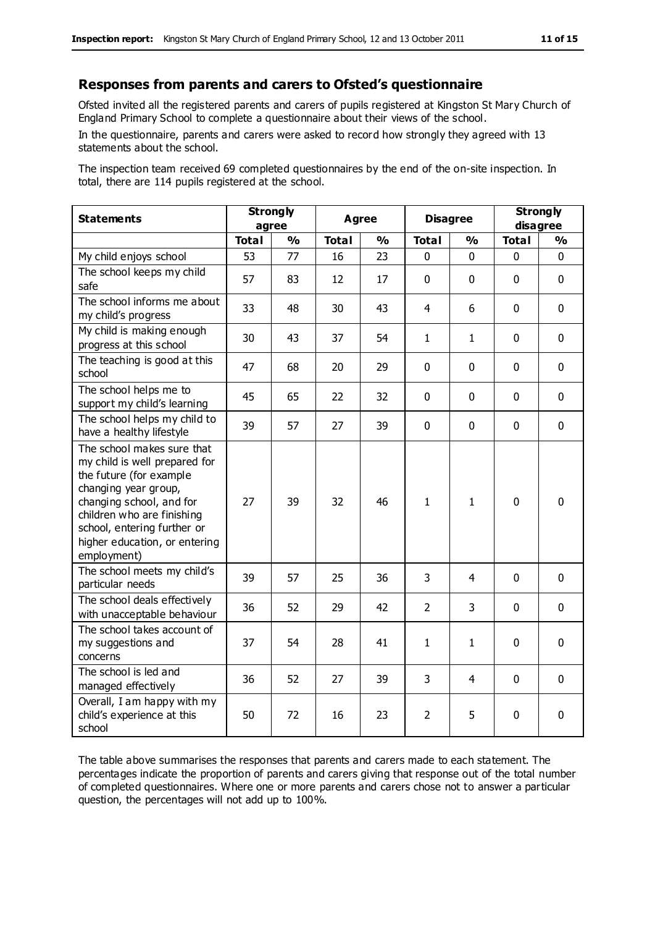#### **Responses from parents and carers to Ofsted's questionnaire**

Ofsted invited all the registered parents and carers of pupils registered at Kingston St Mary Church of England Primary School to complete a questionnaire about their views of the school.

In the questionnaire, parents and carers were asked to record how strongly they agreed with 13 statements about the school.

The inspection team received 69 completed questionnaires by the end of the on-site inspection. In total, there are 114 pupils registered at the school.

| <b>Statements</b>                                                                                                                                                                                                                                       | <b>Strongly</b><br>agree |               | <b>Agree</b> |               | <b>Disagree</b> |               | <b>Strongly</b><br>disagree |               |
|---------------------------------------------------------------------------------------------------------------------------------------------------------------------------------------------------------------------------------------------------------|--------------------------|---------------|--------------|---------------|-----------------|---------------|-----------------------------|---------------|
|                                                                                                                                                                                                                                                         | <b>Total</b>             | $\frac{1}{2}$ | <b>Total</b> | $\frac{1}{2}$ | <b>Total</b>    | $\frac{1}{2}$ | <b>Total</b>                | $\frac{1}{2}$ |
| My child enjoys school                                                                                                                                                                                                                                  | 53                       | 77            | 16           | 23            | 0               | $\mathbf 0$   | $\mathbf 0$                 | $\mathbf 0$   |
| The school keeps my child<br>safe                                                                                                                                                                                                                       | 57                       | 83            | 12           | 17            | $\mathbf{0}$    | $\mathbf{0}$  | $\mathbf 0$                 | $\mathbf 0$   |
| The school informs me about<br>my child's progress                                                                                                                                                                                                      | 33                       | 48            | 30           | 43            | $\overline{4}$  | 6             | $\mathbf 0$                 | $\mathbf 0$   |
| My child is making enough<br>progress at this school                                                                                                                                                                                                    | 30                       | 43            | 37           | 54            | $\mathbf{1}$    | 1             | $\mathbf 0$                 | $\mathbf 0$   |
| The teaching is good at this<br>school                                                                                                                                                                                                                  | 47                       | 68            | 20           | 29            | $\Omega$        | $\mathbf 0$   | $\Omega$                    | $\mathbf 0$   |
| The school helps me to<br>support my child's learning                                                                                                                                                                                                   | 45                       | 65            | 22           | 32            | $\Omega$        | $\Omega$      | $\mathbf{0}$                | $\mathbf 0$   |
| The school helps my child to<br>have a healthy lifestyle                                                                                                                                                                                                | 39                       | 57            | 27           | 39            | $\mathbf{0}$    | $\mathbf{0}$  | $\mathbf 0$                 | $\mathbf 0$   |
| The school makes sure that<br>my child is well prepared for<br>the future (for example<br>changing year group,<br>changing school, and for<br>children who are finishing<br>school, entering further or<br>higher education, or entering<br>employment) | 27                       | 39            | 32           | 46            | $\mathbf{1}$    | 1             | $\mathbf 0$                 | 0             |
| The school meets my child's<br>particular needs                                                                                                                                                                                                         | 39                       | 57            | 25           | 36            | 3               | 4             | $\mathbf 0$                 | $\mathbf 0$   |
| The school deals effectively<br>with unacceptable behaviour                                                                                                                                                                                             | 36                       | 52            | 29           | 42            | $\overline{2}$  | 3             | $\mathbf 0$                 | $\mathbf 0$   |
| The school takes account of<br>my suggestions and<br>concerns                                                                                                                                                                                           | 37                       | 54            | 28           | 41            | $\mathbf{1}$    | $\mathbf{1}$  | $\mathbf 0$                 | $\mathbf 0$   |
| The school is led and<br>managed effectively                                                                                                                                                                                                            | 36                       | 52            | 27           | 39            | 3               | 4             | $\mathbf 0$                 | $\mathbf 0$   |
| Overall, I am happy with my<br>child's experience at this<br>school                                                                                                                                                                                     | 50                       | 72            | 16           | 23            | $\overline{2}$  | 5             | 0                           | $\mathbf 0$   |

The table above summarises the responses that parents and carers made to each statement. The percentages indicate the proportion of parents and carers giving that response out of the total number of completed questionnaires. Where one or more parents and carers chose not to answer a particular question, the percentages will not add up to 100%.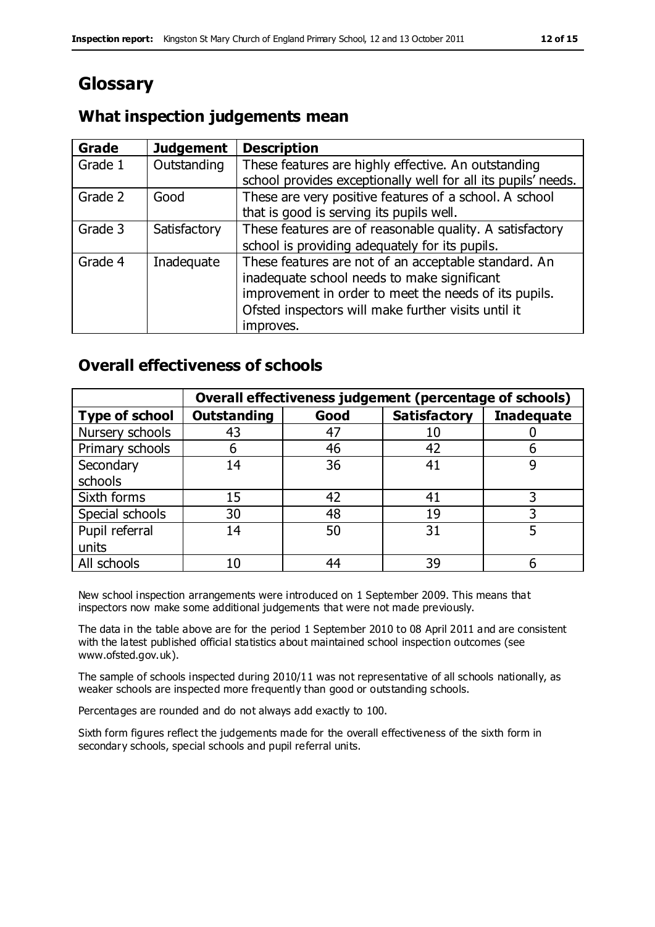# **Glossary**

## **What inspection judgements mean**

| <b>Grade</b> | <b>Judgement</b> | <b>Description</b>                                            |
|--------------|------------------|---------------------------------------------------------------|
| Grade 1      | Outstanding      | These features are highly effective. An outstanding           |
|              |                  | school provides exceptionally well for all its pupils' needs. |
| Grade 2      | Good             | These are very positive features of a school. A school        |
|              |                  | that is good is serving its pupils well.                      |
| Grade 3      | Satisfactory     | These features are of reasonable quality. A satisfactory      |
|              |                  | school is providing adequately for its pupils.                |
| Grade 4      | Inadequate       | These features are not of an acceptable standard. An          |
|              |                  | inadequate school needs to make significant                   |
|              |                  | improvement in order to meet the needs of its pupils.         |
|              |                  | Ofsted inspectors will make further visits until it           |
|              |                  | improves.                                                     |

# **Overall effectiveness of schools**

|                       |                    |      | Overall effectiveness judgement (percentage of schools) |                   |
|-----------------------|--------------------|------|---------------------------------------------------------|-------------------|
| <b>Type of school</b> | <b>Outstanding</b> | Good | <b>Satisfactory</b>                                     | <b>Inadequate</b> |
| Nursery schools       | 43                 | 47   | 10                                                      |                   |
| Primary schools       | 6                  | 46   | 42                                                      |                   |
| Secondary             | 14                 | 36   | 41                                                      |                   |
| schools               |                    |      |                                                         |                   |
| Sixth forms           | 15                 | 42   | 41                                                      | 3                 |
| Special schools       | 30                 | 48   | 19                                                      |                   |
| Pupil referral        | 14                 | 50   | 31                                                      |                   |
| units                 |                    |      |                                                         |                   |
| All schools           | 10                 | 44   | 39                                                      |                   |

New school inspection arrangements were introduced on 1 September 2009. This means that inspectors now make some additional judgements that were not made previously.

The data in the table above are for the period 1 September 2010 to 08 April 2011 and are consistent with the latest published official statistics about maintained school inspection outcomes (see www.ofsted.gov.uk).

The sample of schools inspected during 2010/11 was not representative of all schools nationally, as weaker schools are inspected more frequently than good or outstanding schools.

Percentages are rounded and do not always add exactly to 100.

Sixth form figures reflect the judgements made for the overall effectiveness of the sixth form in secondary schools, special schools and pupil referral units.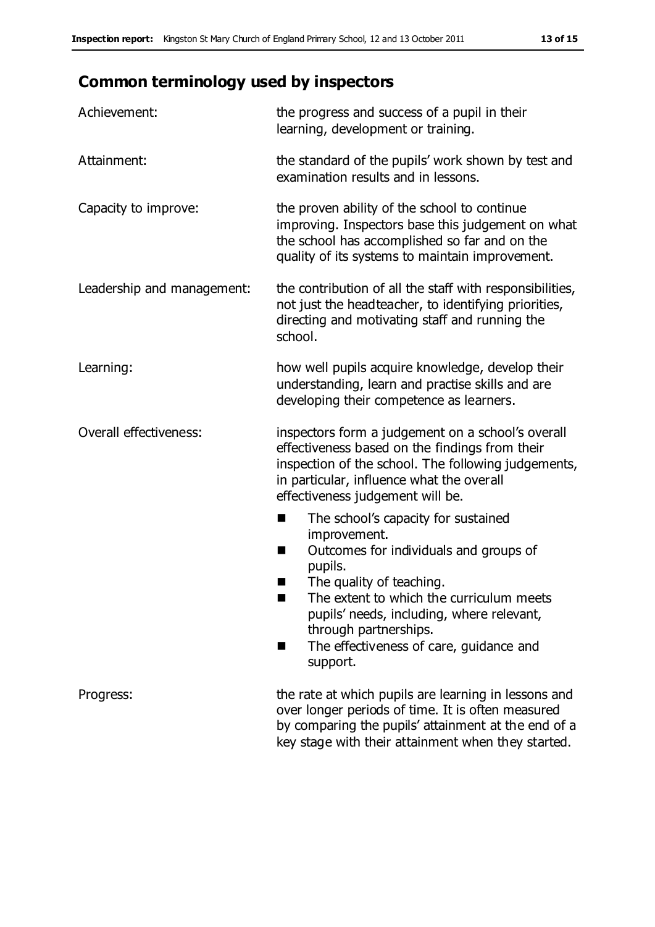# **Common terminology used by inspectors**

| Achievement:               | the progress and success of a pupil in their<br>learning, development or training.                                                                                                                                                                                                                                             |
|----------------------------|--------------------------------------------------------------------------------------------------------------------------------------------------------------------------------------------------------------------------------------------------------------------------------------------------------------------------------|
| Attainment:                | the standard of the pupils' work shown by test and<br>examination results and in lessons.                                                                                                                                                                                                                                      |
| Capacity to improve:       | the proven ability of the school to continue<br>improving. Inspectors base this judgement on what<br>the school has accomplished so far and on the<br>quality of its systems to maintain improvement.                                                                                                                          |
| Leadership and management: | the contribution of all the staff with responsibilities,<br>not just the headteacher, to identifying priorities,<br>directing and motivating staff and running the<br>school.                                                                                                                                                  |
| Learning:                  | how well pupils acquire knowledge, develop their<br>understanding, learn and practise skills and are<br>developing their competence as learners.                                                                                                                                                                               |
| Overall effectiveness:     | inspectors form a judgement on a school's overall<br>effectiveness based on the findings from their<br>inspection of the school. The following judgements,<br>in particular, influence what the overall<br>effectiveness judgement will be.                                                                                    |
|                            | The school's capacity for sustained<br>٠<br>improvement.<br>Outcomes for individuals and groups of<br>ш<br>pupils.<br>The quality of teaching.<br>The extent to which the curriculum meets<br>a s<br>pupils' needs, including, where relevant,<br>through partnerships.<br>The effectiveness of care, guidance and<br>support. |
| Progress:                  | the rate at which pupils are learning in lessons and<br>over longer periods of time. It is often measured<br>by comparing the pupils' attainment at the end of a<br>key stage with their attainment when they started.                                                                                                         |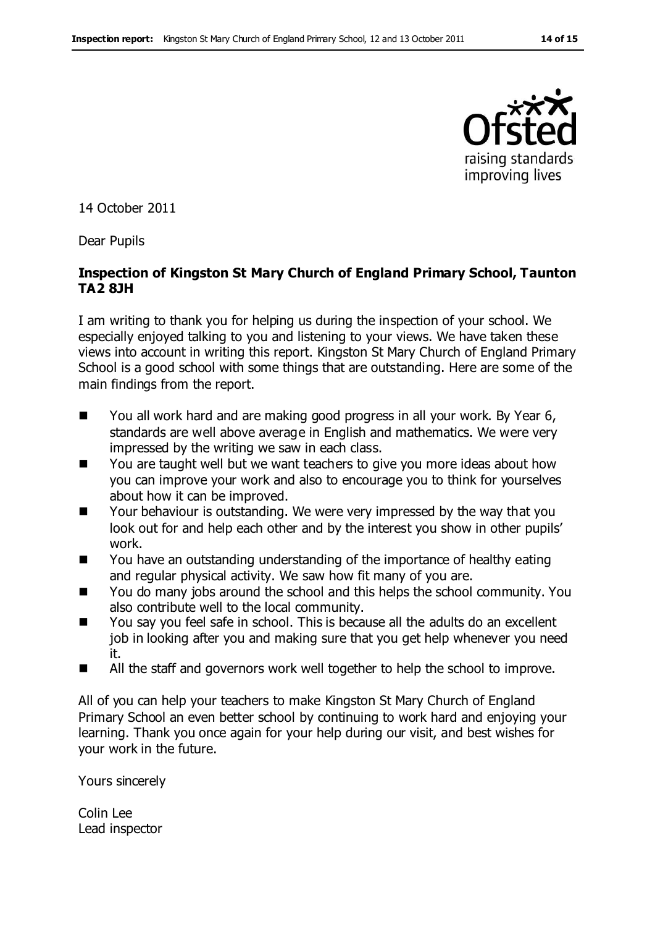

14 October 2011

Dear Pupils

#### **Inspection of Kingston St Mary Church of England Primary School, Taunton TA2 8JH**

I am writing to thank you for helping us during the inspection of your school. We especially enjoyed talking to you and listening to your views. We have taken these views into account in writing this report. Kingston St Mary Church of England Primary School is a good school with some things that are outstanding. Here are some of the main findings from the report.

- You all work hard and are making good progress in all your work. By Year 6, standards are well above average in English and mathematics. We were very impressed by the writing we saw in each class.
- You are taught well but we want teachers to give you more ideas about how you can improve your work and also to encourage you to think for yourselves about how it can be improved.
- Your behaviour is outstanding. We were very impressed by the way that you look out for and help each other and by the interest you show in other pupils' work.
- You have an outstanding understanding of the importance of healthy eating and regular physical activity. We saw how fit many of you are.
- You do many jobs around the school and this helps the school community. You also contribute well to the local community.
- You say you feel safe in school. This is because all the adults do an excellent job in looking after you and making sure that you get help whenever you need it.
- All the staff and governors work well together to help the school to improve.

All of you can help your teachers to make Kingston St Mary Church of England Primary School an even better school by continuing to work hard and enjoying your learning. Thank you once again for your help during our visit, and best wishes for your work in the future.

Yours sincerely

Colin Lee Lead inspector